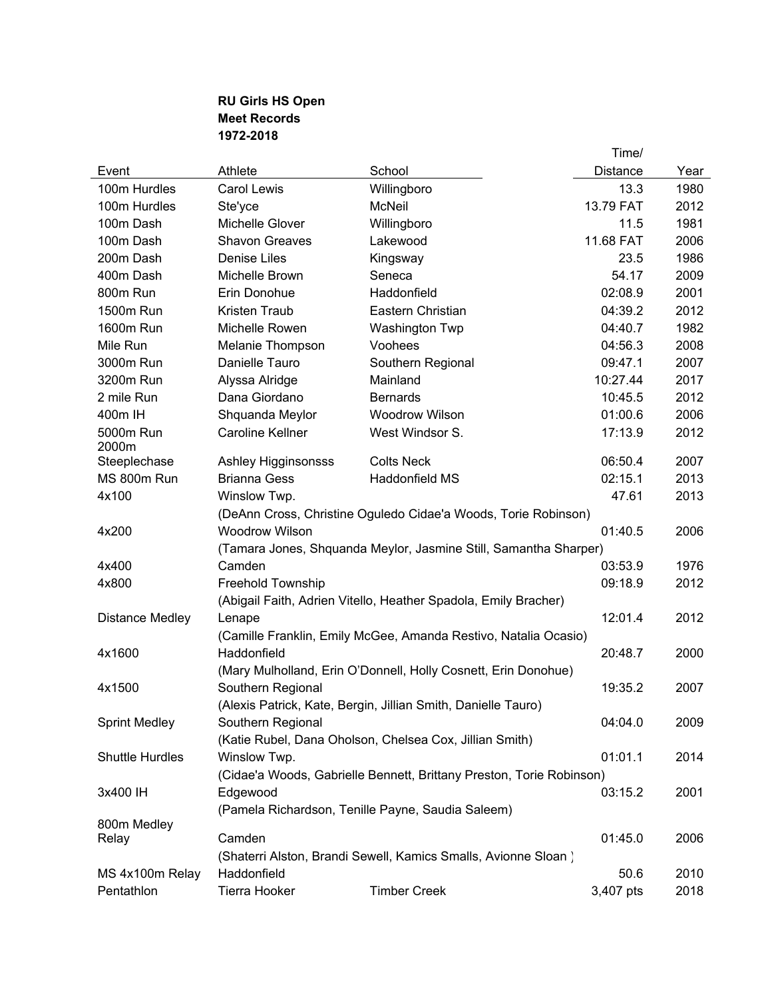## **RU Girls HS Open Meet Records 1972-2018**

|                        |                                                                |                                                                      | Time/           |      |  |
|------------------------|----------------------------------------------------------------|----------------------------------------------------------------------|-----------------|------|--|
| Event                  | Athlete                                                        | School                                                               | <b>Distance</b> | Year |  |
| 100m Hurdles           | <b>Carol Lewis</b>                                             | Willingboro                                                          | 13.3            | 1980 |  |
| 100m Hurdles           | Ste'yce                                                        | McNeil                                                               | 13.79 FAT       | 2012 |  |
| 100m Dash              | Michelle Glover                                                | Willingboro                                                          | 11.5            | 1981 |  |
| 100m Dash              | <b>Shavon Greaves</b>                                          | Lakewood                                                             | 11.68 FAT       | 2006 |  |
| 200m Dash              | <b>Denise Liles</b>                                            | Kingsway                                                             | 23.5            | 1986 |  |
| 400m Dash              | Michelle Brown                                                 | Seneca                                                               | 54.17           | 2009 |  |
| 800m Run               | Erin Donohue                                                   | Haddonfield                                                          | 02:08.9         | 2001 |  |
| 1500m Run              | Kristen Traub                                                  | Eastern Christian                                                    | 04:39.2         | 2012 |  |
| 1600m Run              | Michelle Rowen                                                 | Washington Twp                                                       | 04:40.7         | 1982 |  |
| Mile Run               | Melanie Thompson                                               | Voohees                                                              | 04:56.3         | 2008 |  |
| 3000m Run              | Danielle Tauro                                                 | Southern Regional                                                    | 09:47.1         | 2007 |  |
| 3200m Run              | Alyssa Alridge                                                 | Mainland                                                             | 10:27.44        | 2017 |  |
| 2 mile Run             | Dana Giordano                                                  | <b>Bernards</b>                                                      | 10:45.5         | 2012 |  |
| 400m IH                | Shquanda Meylor                                                | Woodrow Wilson                                                       | 01:00.6         | 2006 |  |
| 5000m Run<br>2000m     | <b>Caroline Kellner</b>                                        | West Windsor S.                                                      | 17:13.9         | 2012 |  |
| Steeplechase           | Ashley Higginsonsss                                            | <b>Colts Neck</b>                                                    | 06:50.4         | 2007 |  |
| MS 800m Run            | <b>Brianna Gess</b>                                            | <b>Haddonfield MS</b>                                                | 02:15.1         | 2013 |  |
| 4x100                  | Winslow Twp.                                                   |                                                                      | 47.61           | 2013 |  |
|                        | (DeAnn Cross, Christine Oguledo Cidae'a Woods, Torie Robinson) |                                                                      |                 |      |  |
| 4x200                  | <b>Woodrow Wilson</b>                                          |                                                                      | 01:40.5         | 2006 |  |
|                        |                                                                | (Tamara Jones, Shquanda Meylor, Jasmine Still, Samantha Sharper)     |                 |      |  |
| 4x400                  | Camden                                                         |                                                                      | 03:53.9         | 1976 |  |
| 4x800                  | Freehold Township                                              |                                                                      | 09:18.9         | 2012 |  |
|                        |                                                                | (Abigail Faith, Adrien Vitello, Heather Spadola, Emily Bracher)      |                 |      |  |
| Distance Medley        | Lenape                                                         |                                                                      | 12:01.4         | 2012 |  |
|                        |                                                                | (Camille Franklin, Emily McGee, Amanda Restivo, Natalia Ocasio)      |                 |      |  |
| 4x1600                 | Haddonfield                                                    |                                                                      | 20:48.7         | 2000 |  |
|                        |                                                                | (Mary Mulholland, Erin O'Donnell, Holly Cosnett, Erin Donohue)       |                 |      |  |
| 4x1500                 | Southern Regional                                              |                                                                      | 19:35.2         | 2007 |  |
|                        |                                                                | (Alexis Patrick, Kate, Bergin, Jillian Smith, Danielle Tauro)        |                 |      |  |
| <b>Sprint Medley</b>   | Southern Regional                                              |                                                                      | 04:04.0         | 2009 |  |
|                        |                                                                | (Katie Rubel, Dana Oholson, Chelsea Cox, Jillian Smith)              |                 |      |  |
| <b>Shuttle Hurdles</b> | Winslow Twp.                                                   |                                                                      | 01:01.1         | 2014 |  |
|                        |                                                                | (Cidae'a Woods, Gabrielle Bennett, Brittany Preston, Torie Robinson) |                 |      |  |
| 3x400 IH               | Edgewood                                                       |                                                                      | 03:15.2         | 2001 |  |
|                        |                                                                | (Pamela Richardson, Tenille Payne, Saudia Saleem)                    |                 |      |  |
| 800m Medley            |                                                                |                                                                      |                 |      |  |
| Relay                  | Camden                                                         |                                                                      | 01:45.0         | 2006 |  |
|                        |                                                                | (Shaterri Alston, Brandi Sewell, Kamics Smalls, Avionne Sloan)       |                 |      |  |
| MS 4x100m Relay        | Haddonfield                                                    |                                                                      | 50.6            | 2010 |  |
| Pentathlon             | Tierra Hooker                                                  | <b>Timber Creek</b>                                                  | 3,407 pts       | 2018 |  |
|                        |                                                                |                                                                      |                 |      |  |